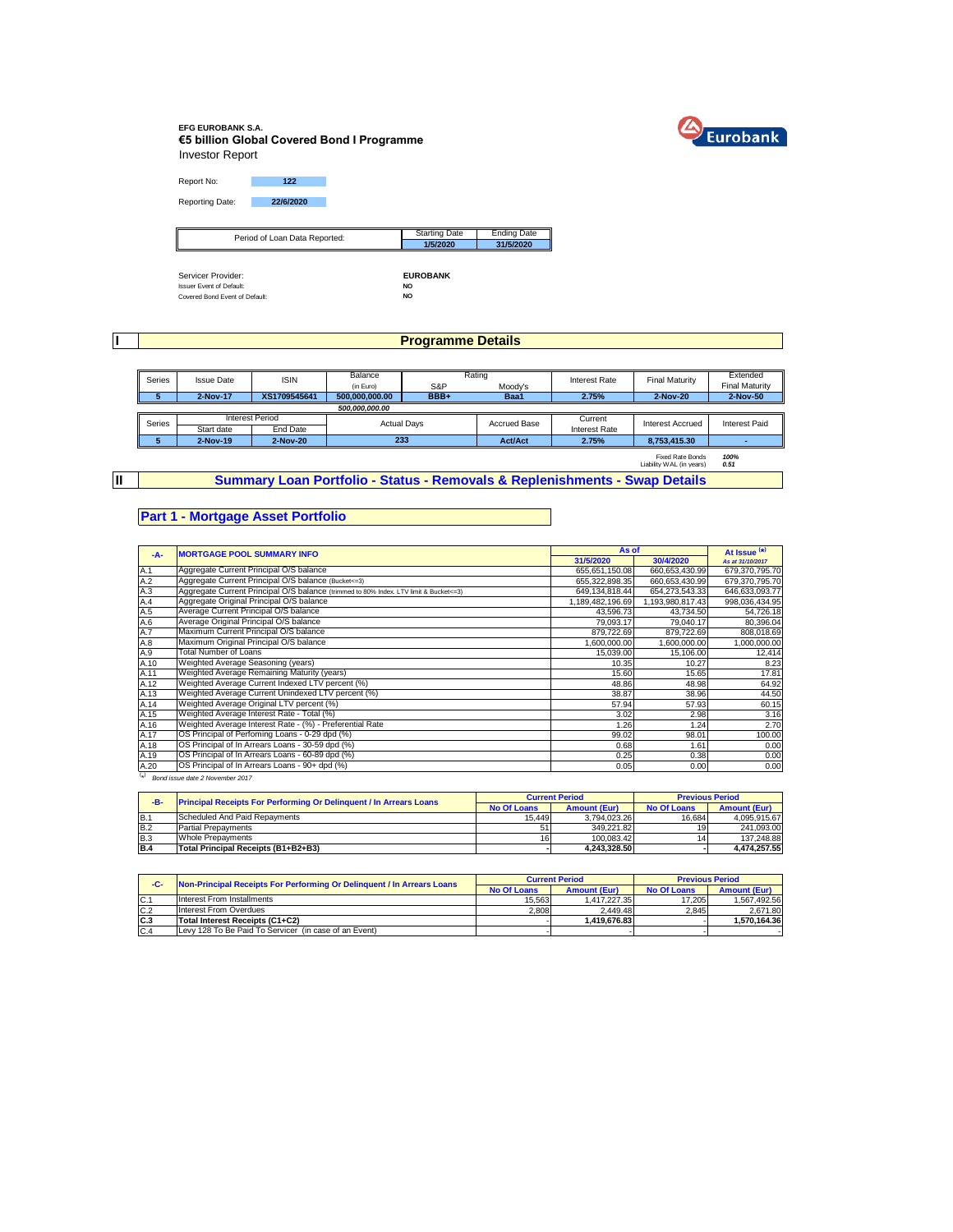

### **EFG EUROBANK S.A. €5 billion Global Covered Bond I Programme** Investor Report

Report No: **122** Reporting Date: **22/6/2020**

| Period of Loan Data Reported:   | <b>Starting Date</b> | <b>Ending Date</b> |
|---------------------------------|----------------------|--------------------|
| ∥                               | 1/5/2020             | 31/5/2020          |
|                                 |                      |                    |
|                                 |                      |                    |
| Servicer Provider:              | <b>EUROBANK</b>      |                    |
| <b>Issuer Event of Default:</b> | <b>NO</b>            |                    |
| Covered Bond Event of Default:  | NO                   |                    |

**I**

**II**

## **Programme Details**

| Series | <b>Issue Date</b> | <b>ISIN</b>            | Balance            | Rating |                     | <b>Interest Rate</b> | <b>Final Maturity</b>                               | Extended              |  |
|--------|-------------------|------------------------|--------------------|--------|---------------------|----------------------|-----------------------------------------------------|-----------------------|--|
|        |                   |                        | (in Euro)          | S&P    | Moody's             |                      |                                                     | <b>Final Maturity</b> |  |
|        | 2-Nov-17          | XS1709545641           | 500,000,000.00     | BBB+   | Baa1                | 2.75%                | 2-Nov-20                                            | 2-Nov-50              |  |
|        |                   |                        | 500.000.000.00     |        |                     |                      |                                                     |                       |  |
| Series |                   | <b>Interest Period</b> | <b>Actual Davs</b> |        | <b>Accrued Base</b> | Current              | Interest Accrued                                    | <b>Interest Paid</b>  |  |
|        | Start date        | End Date               |                    |        |                     |                      | <b>Interest Rate</b>                                |                       |  |
| э      | 2-Nov-19          | 2-Nov-20               | 233                |        | <b>Act/Act</b>      | 2.75%                | 8.753.415.30                                        |                       |  |
|        |                   |                        |                    |        |                     |                      | <b>Fixed Rate Bonds</b><br>Liability WAL (in years) | 100%<br>0.51          |  |

**Summary Loan Portfolio - Status - Removals & Replenishments - Swap Details**

## **Part 1 - Mortgage Asset Portfolio**

| $-A-$      | <b>MORTGAGE POOL SUMMARY INFO</b>                                                       | As of            |                  | At Issue <sup>(*)</sup> |
|------------|-----------------------------------------------------------------------------------------|------------------|------------------|-------------------------|
|            |                                                                                         | 31/5/2020        | 30/4/2020        | As at 31/10/2017        |
| A.1        | Aggregate Current Principal O/S balance                                                 | 655,651,150.08   | 660,653,430.99   | 679,370,795.70          |
| A.2        | Aggregate Current Principal O/S balance (Bucket<=3)                                     | 655,322,898.35   | 660.653.430.99   | 679.370.795.70          |
| A.3        | Aggregate Current Principal O/S balance (trimmed to 80% Index. LTV limit & Bucket <= 3) | 649,134,818.44   | 654,273,543.33   | 646,633,093.77          |
| A.4        | Aggregate Original Principal O/S balance                                                | 1,189,482,196.69 | 1,193,980,817.43 | 998,036,434.95          |
| A.5        | Average Current Principal O/S balance                                                   | 43,596.73        | 43,734.50        | 54,726.18               |
| A.6<br>A.7 | Average Original Principal O/S balance                                                  | 79,093.17        | 79,040.17        | 80,396.04               |
|            | Maximum Current Principal O/S balance                                                   | 879,722.69       | 879,722.69       | 808,018.69              |
| A.8        | Maximum Original Principal O/S balance                                                  | 1,600,000.00     | 1,600,000.00     | 1,000,000.00            |
| A.9        | Total Number of Loans                                                                   | 15,039.00        | 15,106.00        | 12,414                  |
| A.10       | Weighted Average Seasoning (years)                                                      | 10.35            | 10.27            | 8.23                    |
| A.11       | Weighted Average Remaining Maturity (years)                                             | 15.60            | 15.65            | 17.81                   |
| A.12       | Weighted Average Current Indexed LTV percent (%)                                        | 48.86            | 48.98            | 64.92                   |
| A.13       | Weighted Average Current Unindexed LTV percent (%)                                      | 38.87            | 38.96            | 44.50                   |
| A.14       | Weighted Average Original LTV percent (%)                                               | 57.94            | 57.93            | 60.15                   |
| A.15       | Weighted Average Interest Rate - Total (%)                                              | 3.02             | 2.98             | 3.16                    |
| A.16       | Weighted Average Interest Rate - (%) - Preferential Rate                                | 1.26             | 1.24             | 2.70                    |
| A.17       | OS Principal of Perfoming Loans - 0-29 dpd (%)                                          | 99.02            | 98.01            | 100.00                  |
| A.18       | OS Principal of In Arrears Loans - 30-59 dpd (%)                                        | 0.68             | 1.61             | 0.00                    |
| A.19       | OS Principal of In Arrears Loans - 60-89 dpd (%)                                        | 0.25             | 0.38             | 0.00                    |
| A.20       | OS Principal of In Arrears Loans - 90+ dpd (%)                                          | 0.05             | 0.00             | 0.00                    |
| $(\star)$  | Bond issue date 2 November 2017                                                         |                  |                  |                         |

| -B-        | <b>Principal Receipts For Performing Or Delinquent / In Arrears Loans</b> |                    | <b>Current Period</b> |                    | <b>Previous Period</b> |
|------------|---------------------------------------------------------------------------|--------------------|-----------------------|--------------------|------------------------|
|            |                                                                           | <b>No Of Loans</b> | <b>Amount (Eur)</b>   | <b>No Of Loans</b> | <b>Amount (Eur)</b>    |
| B.1        | Scheduled And Paid Repayments                                             | 15.449             | 3.794.023.26          | 16.684             | 4.095.915.67           |
| <b>B.2</b> | <b>Partial Prepayments</b>                                                |                    | 349.221.82            | 19                 | 241.093.00             |
| <b>B.3</b> | <b>Whole Prepayments</b>                                                  | 16 <sup>1</sup>    | 100.083.42            | 14                 | 137.248.88             |
| <b>B.4</b> | Total Principal Receipts (B1+B2+B3)                                       |                    | 4.243.328.50          |                    | 4.474.257.55           |

| -C-            | Non-Principal Receipts For Performing Or Delinquent / In Arrears Loans |                    | <b>Current Period</b> |                    | <b>Previous Period</b> |
|----------------|------------------------------------------------------------------------|--------------------|-----------------------|--------------------|------------------------|
|                |                                                                        | <b>No Of Loans</b> | <b>Amount (Eur)</b>   | <b>No Of Loans</b> | <b>Amount (Eur)</b>    |
| $C$ .          | Interest From Installments                                             | 15.563             | 1.417.227.35          | 17.205             | 1.567.492.56           |
| C.2            | Interest From Overdues                                                 | 2.808              | 2.449.48              | 2.845              | 2.671.80               |
| C <sub>3</sub> | Total Interest Receipts (C1+C2)                                        |                    | 1.419.676.83          |                    | .570.164.36            |
| C.4            | Levy 128 To Be Paid To Servicer (in case of an Event)                  |                    |                       |                    |                        |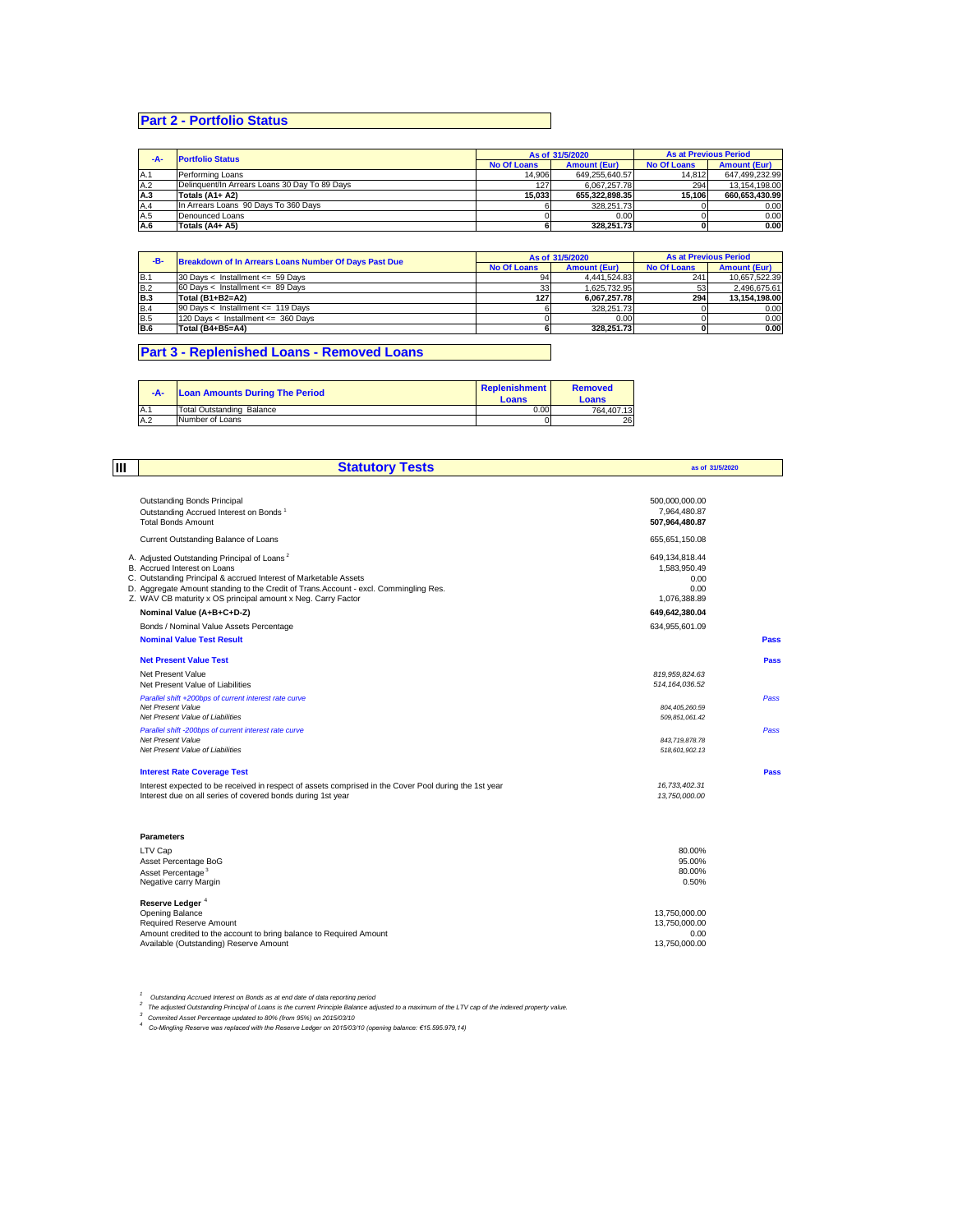# **Part 2 - Portfolio Status**

| -A- | <b>Portfolio Status</b>                       |                    | As of 31/5/2020     | <b>As at Previous Period</b> |                     |
|-----|-----------------------------------------------|--------------------|---------------------|------------------------------|---------------------|
|     |                                               | <b>No Of Loans</b> | <b>Amount (Eur)</b> | <b>No Of Loans</b>           | <b>Amount (Eur)</b> |
| A.1 | Performing Loans                              | 14.906             | 649.255.640.57      | 14.812                       | 647.499.232.99      |
| A.2 | Delinguent/In Arrears Loans 30 Day To 89 Days | 127                | 6.067.257.78        | 294                          | 13.154.198.00       |
| A.3 | Totals (A1+ A2)                               | 15.033             | 655.322.898.35      | 15.106                       | 660.653.430.99      |
| A.4 | In Arrears Loans 90 Days To 360 Days          |                    | 328.251.73          |                              | 0.00                |
| A.5 | Denounced Loans                               |                    | 0.00                |                              | 0.00                |
| A.6 | Totals (A4+ A5)                               |                    | 328.251.73          |                              | 0.00                |

| -B-        | <b>Breakdown of In Arrears Loans Number Of Days Past Due</b> |                    | As of 31/5/2020     | <b>As at Previous Period</b> |                     |
|------------|--------------------------------------------------------------|--------------------|---------------------|------------------------------|---------------------|
|            |                                                              | <b>No Of Loans</b> | <b>Amount (Eur)</b> | <b>No Of Loans</b>           | <b>Amount (Eur)</b> |
| IB.1       | $30$ Days < Installment <= 59 Days                           | 94                 | 4.441.524.83        | 241                          | 10.657.522.39       |
| <b>B.2</b> | $60$ Davs < Installment <= 89 Davs                           | 33                 | 1.625.732.95        | 53                           | 2.496.675.61        |
| <b>B.3</b> | Total (B1+B2=A2)                                             | 127                | 6.067.257.78        | 294                          | 13.154.198.00       |
| <b>B.4</b> | 90 Days < Installment <= 119 Days                            |                    | 328.251.73          |                              | 0.00                |
| <b>B.5</b> | 120 Days < Installment <= 360 Days                           |                    | 0.00                |                              | 0.00                |
| <b>B.6</b> | Total (B4+B5=A4)                                             |                    | 328.251.73          |                              | 0.00                |

## **Part 3 - Replenished Loans - Removed Loans**

| -A- | <b>Loan Amounts During The Period</b> | Replenishment<br>Loans | <b>Removed</b><br>Loans |
|-----|---------------------------------------|------------------------|-------------------------|
| A.1 | <b>Total Outstanding Balance</b>      | 0.00                   | 764.407.13              |
| A.2 | Number of Loans                       |                        | 26                      |

| Ш | <b>Statutory Tests</b>                                                                                                                                                                                                                                                                                              | as of 31/5/2020                                                |      |
|---|---------------------------------------------------------------------------------------------------------------------------------------------------------------------------------------------------------------------------------------------------------------------------------------------------------------------|----------------------------------------------------------------|------|
|   | <b>Outstanding Bonds Principal</b><br>Outstanding Accrued Interest on Bonds <sup>1</sup><br><b>Total Bonds Amount</b>                                                                                                                                                                                               | 500,000,000.00<br>7,964,480.87<br>507,964,480.87               |      |
|   | Current Outstanding Balance of Loans                                                                                                                                                                                                                                                                                | 655.651.150.08                                                 |      |
|   | A. Adjusted Outstanding Principal of Loans <sup>2</sup><br>B. Accrued Interest on Loans<br>C. Outstanding Principal & accrued Interest of Marketable Assets<br>D. Aggregate Amount standing to the Credit of Trans.Account - excl. Commingling Res.<br>Z. WAV CB maturity x OS principal amount x Neg. Carry Factor | 649,134,818.44<br>1,583,950.49<br>0.00<br>0.00<br>1,076,388.89 |      |
|   | Nominal Value (A+B+C+D-Z)                                                                                                                                                                                                                                                                                           | 649,642,380.04                                                 |      |
|   | Bonds / Nominal Value Assets Percentage                                                                                                                                                                                                                                                                             | 634,955,601.09                                                 |      |
|   | <b>Nominal Value Test Result</b>                                                                                                                                                                                                                                                                                    |                                                                | Pass |
|   | <b>Net Present Value Test</b>                                                                                                                                                                                                                                                                                       |                                                                | Pass |
|   | Net Present Value<br>Net Present Value of Liabilities                                                                                                                                                                                                                                                               | 819,959,824.63<br>514, 164, 036.52                             |      |
|   | Parallel shift +200bps of current interest rate curve<br>Net Present Value<br>Net Present Value of Liabilities                                                                                                                                                                                                      | 804, 405, 260.59<br>509.851.061.42                             | Pass |
|   | Parallel shift -200bps of current interest rate curve<br>Net Present Value<br>Net Present Value of Liabilities                                                                                                                                                                                                      | 843.719.878.78<br>518,601,902.13                               | Pass |
|   | <b>Interest Rate Coverage Test</b>                                                                                                                                                                                                                                                                                  |                                                                | Pass |
|   | Interest expected to be received in respect of assets comprised in the Cover Pool during the 1st year<br>Interest due on all series of covered bonds during 1st year                                                                                                                                                | 16,733,402.31<br>13,750,000.00                                 |      |
|   | <b>Parameters</b>                                                                                                                                                                                                                                                                                                   |                                                                |      |
|   | LTV Cap<br>Asset Percentage BoG<br>Asset Percentage <sup>3</sup><br>Negative carry Margin                                                                                                                                                                                                                           | 80.00%<br>95.00%<br>80.00%<br>0.50%                            |      |
|   | Reserve Ledger <sup>4</sup>                                                                                                                                                                                                                                                                                         |                                                                |      |
|   | Opening Balance<br>Required Reserve Amount<br>Amount credited to the account to bring balance to Required Amount<br>Available (Outstanding) Reserve Amount                                                                                                                                                          | 13,750,000.00<br>13,750,000.00<br>0.00<br>13.750.000.00        |      |

<sup>1</sup> Outstanding Accrued Interest on Bonds as at end date of data reporting period<br><sup>2</sup> The adjusted Outstanding Principal of Loans is the current Principle Balance adjusted to a maximum of the LTV cap of the indexed propert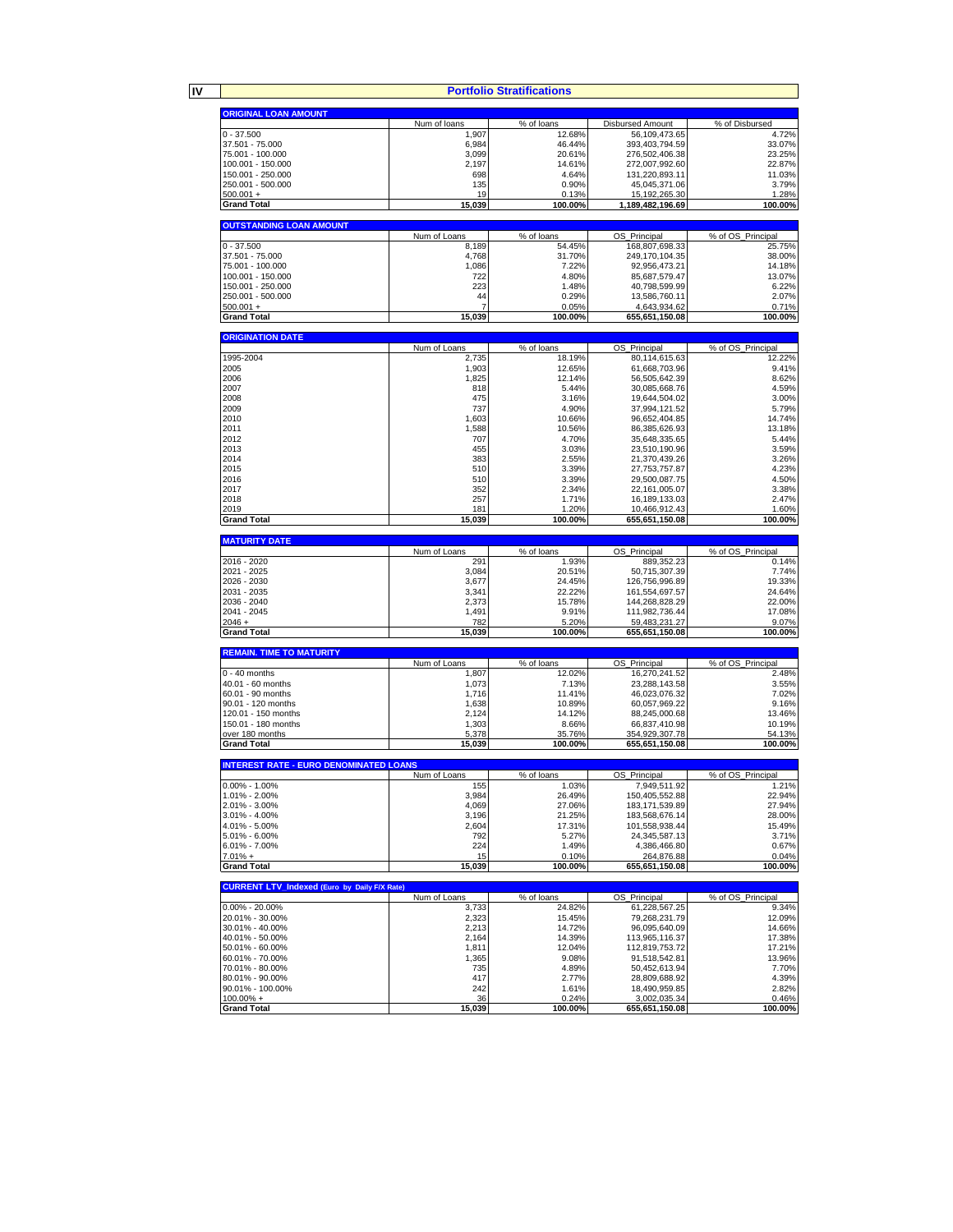**IV**

**Portfolio Stratifications**

|                                                     |                       | Portfolio Stratifications |                                 |                             |
|-----------------------------------------------------|-----------------------|---------------------------|---------------------------------|-----------------------------|
| <b>ORIGINAL LOAN AMOUNT</b>                         |                       |                           |                                 |                             |
|                                                     | Num of loans          | % of loans                | <b>Disbursed Amount</b>         | % of Disbursed              |
| $0 - 37.500$                                        | 1,907                 | 12.68%                    | 56,109,473.65                   | 4.72%                       |
| 37.501 - 75.000                                     | 6,984                 | 46.44%                    | 393,403,794.59                  | 33.07%                      |
| 75.001 - 100.000                                    | 3,099                 | 20.61%                    | 276,502,406.38                  | 23.25%                      |
| 100.001 - 150.000                                   | 2,197                 | 14.61%                    | 272,007,992.60                  | 22.87%                      |
| 150.001 - 250.000                                   | 698                   | 4.64%                     | 131,220,893.11                  | 11.03%                      |
| 250.001 - 500.000                                   | 135                   | 0.90%                     | 45,045,371.06                   | 3.79%                       |
| $500.001 +$                                         | 19                    | 0.13%                     | 15, 192, 265. 30                | 1.28%                       |
| <b>Grand Total</b>                                  | 15,039                | 100.00%                   | 1,189,482,196.69                | 100.00%                     |
|                                                     |                       |                           |                                 |                             |
| <b>OUTSTANDING LOAN AMOUNT</b>                      |                       |                           |                                 |                             |
| $0 - 37.500$                                        | Num of Loans<br>8,189 | % of loans<br>54.45%      | OS_Principal<br>168,807,698.33  | % of OS_Principal<br>25.75% |
| 37.501 - 75.000                                     | 4,768                 | 31.70%                    | 249,170,104.35                  | 38.00%                      |
| 75.001 - 100.000                                    | 1,086                 | 7.22%                     | 92,956,473.21                   | 14.18%                      |
| 100.001 - 150.000                                   | 722                   | 4.80%                     | 85,687,579.47                   | 13.07%                      |
| 150.001 - 250.000                                   | 223                   | 1.48%                     | 40,798,599.99                   | 6.22%                       |
| 250.001 - 500.000                                   | 44                    | 0.29%                     | 13,586,760.11                   | 2.07%                       |
| $500.001 +$                                         |                       | 0.05%                     | 4.643.934.62                    | 0.71%                       |
| <b>Grand Total</b>                                  | 15,039                | 100.00%                   | 655,651,150.08                  | 100.00%                     |
|                                                     |                       |                           |                                 |                             |
| <b>ORIGINATION DATE</b>                             |                       |                           |                                 |                             |
|                                                     | Num of Loans          | % of loans                | OS_Principal                    | % of OS_Principal           |
| 1995-2004                                           | 2,735                 | 18.19%                    | 80,114,615.63                   | 12.22%                      |
| 2005                                                | 1,903                 | 12.65%                    | 61,668,703.96                   | 9.41%                       |
| 2006                                                | 1,825                 | 12.14%                    | 56,505,642.39                   | 8.62%                       |
| 2007                                                | 818                   | 5.44%                     | 30,085,668.76                   | 4.59%                       |
| 2008                                                | 475                   | 3.16%                     | 19,644,504.02                   | 3.00%                       |
| 2009<br>2010                                        | 737<br>1,603          | 4.90%<br>10.66%           | 37,994,121.52<br>96,652,404.85  | 5.79%<br>14.74%             |
| 2011                                                | 1,588                 | 10.56%                    | 86,385,626.93                   | 13.18%                      |
| 2012                                                | 707                   | 4.70%                     | 35,648,335.65                   | 5.44%                       |
| 2013                                                | 455                   | 3.03%                     | 23,510,190.96                   | 3.59%                       |
| 2014                                                | 383                   | 2.55%                     | 21,370,439.26                   | 3.26%                       |
| 2015                                                | 510                   | 3.39%                     | 27,753,757.87                   | 4.23%                       |
| 2016                                                | 510                   | 3.39%                     | 29.500.087.75                   | 4.50%                       |
| 2017                                                | 352                   | 2.34%                     | 22,161,005.07                   | 3.38%                       |
| 2018                                                | 257                   | 1.71%                     | 16,189,133.03                   | 2.47%                       |
| 2019                                                | 181                   | 1.20%                     | 10,466,912.43                   | 1.60%                       |
| <b>Grand Total</b>                                  | 15,039                | 100.00%                   | 655,651,150.08                  | 100.00%                     |
|                                                     |                       |                           |                                 |                             |
| <b>MATURITY DATE</b>                                |                       |                           |                                 |                             |
| 2016 - 2020                                         | Num of Loans<br>291   | % of loans<br>1.93%       | OS Principal                    | % of OS Principal<br>0.14%  |
| 2021 - 2025                                         | 3,084                 | 20.51%                    | 889,352.23<br>50,715,307.39     | 7.74%                       |
| 2026 - 2030                                         | 3,677                 | 24.45%                    | 126,756,996.89                  | 19.33%                      |
| 2031 - 2035                                         | 3,341                 | 22.22%                    | 161,554,697.57                  | 24.64%                      |
| 2036 - 2040                                         | 2,373                 | 15.78%                    | 144,268,828.29                  | 22.00%                      |
| 2041 - 2045                                         | 1,491                 | 9.91%                     | 111,982,736.44                  | 17.08%                      |
| $2046 +$                                            | 782                   | 5.20%                     | 59,483,231.27                   | 9.07%                       |
| <b>Grand Total</b>                                  | 15,039                | 100.00%                   | 655,651,150.08                  | 100.00%                     |
|                                                     |                       |                           |                                 |                             |
| <b>REMAIN. TIME TO MATURITY</b>                     |                       |                           |                                 |                             |
|                                                     | Num of Loans          | % of loans                | ОS<br>Principal                 | % of OS Principal           |
| $0 - 40$ months                                     | 1,807                 | 12.02%                    | 16,270,241.52                   | 2.48%                       |
| 40.01 - 60 months                                   | 1,073                 | 7.13%                     | 23,288,143.58<br>46,023,076.32  | 3.55%                       |
| 60.01 - 90 months<br>90.01 - 120 months             | 1,716<br>1,638        | 11.41%<br>10.89%          | 60,057,969.22                   | 7.02%<br>9.16%              |
| 120.01 - 150 months                                 | 2,124                 | 14.12%                    | 88,245,000.68                   | 13.46%                      |
| 150.01 - 180 months                                 | 1,303                 | 8.66%                     | 66,837,410.98                   | 10.19%                      |
| over 180 months                                     | 5,378                 | 35.76%                    | 354,929,307.78                  | 54.13%                      |
| <b>Grand Total</b>                                  | 15,039                | 100.00%                   | 655,651,150.08                  | 100.00%                     |
|                                                     |                       |                           |                                 |                             |
| <b>INTEREST RATE - EURO DENOMINATED LOANS</b>       |                       |                           |                                 |                             |
|                                                     | Num of Loans          | % of loans                | OS Principal                    | % of OS Principal           |
| $0.00\% - 1.00\%$                                   | 155                   | 1.03%                     | 7,949,511.92                    | 1.21%                       |
| 1.01% - 2.00%                                       | 3,984                 | 26.49%                    | 150,405,552.88                  | 22.94%                      |
| 2.01% - 3.00%                                       | 4,069                 | 27.06%                    | 183, 171, 539.89                | 27.94%                      |
| $3.01\% - 4.00\%$                                   | 3,196                 | 21.25%                    | 183,568,676.14                  | 28.00%                      |
| 4.01% - 5.00%<br>5.01% - 6.00%                      | 2,604<br>792          | 17.31%<br>5.27%           | 101,558,938.44<br>24,345,587.13 | 15.49%<br>3.71%             |
| $6.01\% - 7.00\%$                                   | 224                   | 1.49%                     | 4,386,466.80                    | 0.67%                       |
| $7.01% +$                                           | 15                    | 0.10%                     | 264,876.88                      | 0.04%                       |
| <b>Grand Total</b>                                  | 15,039                | 100.00%                   | 655,651,150.08                  | 100.00%                     |
|                                                     |                       |                           |                                 |                             |
| <b>CURRENT LTV_Indexed (Euro by Daily F/X Rate)</b> |                       |                           |                                 |                             |
|                                                     | Num of Loans          | % of loans                | OS_Principal                    | % of OS_Principal           |
| $0.00\% - 20.00\%$                                  | 3,733                 | 24.82%                    | 61,228,567.25                   | 9.34%                       |
| 20.01% - 30.00%                                     | 2,323                 | 15.45%                    | 79.268.231.79                   | 12.09%                      |
| 30.01% - 40.00%                                     | 2,213                 | 14.72%                    | 96,095,640.09                   | 14.66%                      |
| 40.01% - 50.00%                                     | 2,164                 | 14.39%                    | 113,965,116.37                  | 17.38%                      |
| 50.01% - 60.00%                                     | 1,811                 | 12.04%                    | 112,819,753.72                  | 17.21%                      |
| 60.01% - 70.00%                                     | 1,365                 | 9.08%                     | 91,518,542.81<br>50,452,613.94  | 13.96%<br>7.70%             |
| 70.01% - 80.00%<br>80.01% - 90.00%                  | 735<br>417            | 4.89%<br>2.77%            | 28,809,688.92                   | 4.39%                       |
|                                                     |                       |                           |                                 |                             |
|                                                     |                       |                           |                                 |                             |
| 90.01% - 100.00%<br>$100.00\% +$                    | 242<br>36             | 1.61%<br>0.24%            | 18,490,959.85<br>3,002,035.34   | 2.82%<br>0.46%              |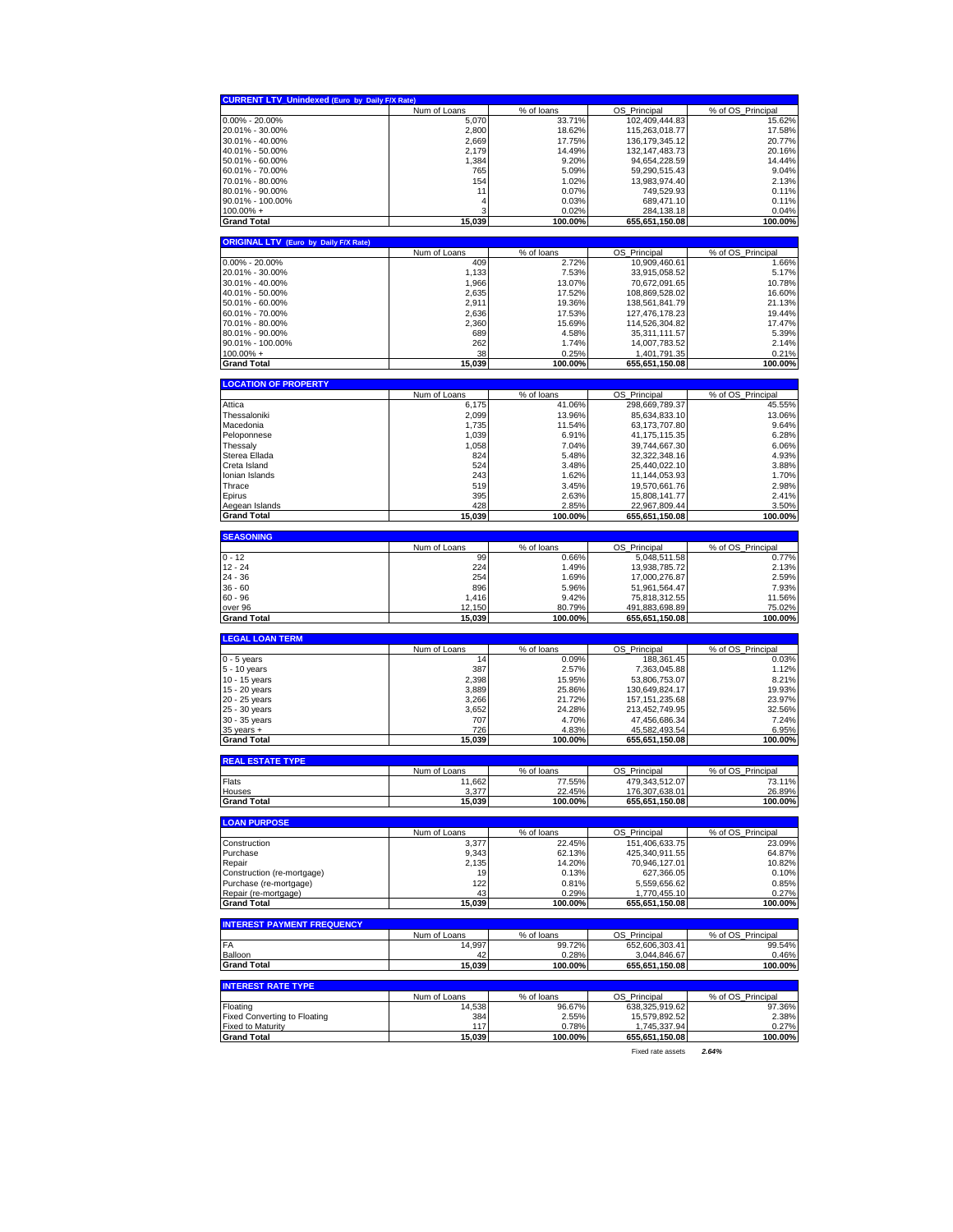| <b>CURRENT LTV_Unindexed (Euro by Daily F/X Rate)</b> |                        | % of loans                    | OS                                  | % of OS Principal           |
|-------------------------------------------------------|------------------------|-------------------------------|-------------------------------------|-----------------------------|
| $0.00\% - 20.00\%$                                    | Num of Loans<br>5,070  | 33.71%                        | Principal<br>102,409,444.83         | 15.62%                      |
| 20.01% - 30.00%                                       | 2,800                  | 18.62%                        | 115,263,018.77                      | 17.58%                      |
| 30.01% - 40.00%                                       | 2,669                  | 17.75%                        | 136, 179, 345. 12                   | 20.77%                      |
| 40.01% - 50.00%                                       | 2,179                  | 14.49%                        | 132, 147, 483. 73                   | 20.16%                      |
| 50.01% - 60.00%                                       | 1,384                  | 9.20%                         | 94,654,228.59                       | 14.44%                      |
| 60.01% - 70.00%<br>70.01% - 80.00%                    | 765<br>154             | 5.09%<br>1.02%                | 59,290,515.43<br>13,983,974.40      | 9.04%<br>2.13%              |
| 80.01% - 90.00%                                       | 11                     | 0.07%                         | 749,529.93                          | 0.11%                       |
| 90.01% - 100.00%                                      | 4                      | 0.03%                         | 689,471.10                          | 0.11%                       |
| $100.00\% +$                                          | ٩                      | 0.02%                         | 284,138.18                          | 0.04%                       |
| <b>Grand Total</b>                                    | 15,039                 | 100.00%                       | 655,651,150.08                      | 100.00%                     |
| <b>ORIGINAL LTV</b><br>(Euro by Daily F/X Rate)       |                        |                               |                                     |                             |
|                                                       | Num of Loans           | % of loans                    | OS_Principal                        | % of OS_Principal           |
| $0.00\% - 20.00\%$<br>20.01% - 30.00%                 | 409<br>1,133           | 2.72%<br>7.53%                | 10.909.460.61<br>33,915,058.52      | 1.66%<br>5.17%              |
| 30.01% - 40.00%                                       | 1,966                  | 13.07%                        | 70,672,091.65                       | 10.78%                      |
| 40.01% - 50.00%                                       | 2,635                  | 17.52%                        | 108,869,528.02                      | 16.60%                      |
| 50.01% - 60.00%                                       | 2,911                  | 19.36%                        | 138,561,841.79                      | 21.13%                      |
| 60.01% - 70.00%                                       | 2,636                  | 17.53%                        | 127,476,178.23                      | 19.44%                      |
| 70.01% - 80.00%<br>80.01% - 90.00%                    | 2,360                  | 15.69%                        | 114,526,304.82                      | 17.47%                      |
| 90.01% - 100.00%                                      | 689<br>262             | 4.58%<br>1.74%                | 35,311,111.57<br>14,007,783.52      | 5.39%<br>2.14%              |
| $100.00\% +$                                          | 38                     | 0.25%                         | 1,401,791.35                        | 0.21%                       |
| <b>Grand Total</b>                                    | 15,039                 | 100.00%                       | 655,651,150.08                      | 100.00%                     |
| <b>LOCATION OF PROPERTY</b>                           |                        |                               |                                     |                             |
|                                                       | Num of Loans           | $\overline{\%}$ of loans      | OS_Principal                        | % of OS_Principal           |
| Attica<br>Thessaloniki                                | 6,175<br>2,099         | 41.06%<br>13.96%              | 298,669,789.37<br>85,634,833.10     | 45.55%<br>13.06%            |
| Macedonia                                             | 1,735                  | 11.54%                        | 63,173,707.80                       | 9.64%                       |
| Peloponnese                                           | 1,039                  | 6.91%                         | 41, 175, 115.35                     | 6.28%                       |
| Thessaly                                              | 1,058                  | 7.04%                         | 39,744,667.30                       | 6.06%                       |
| Sterea Ellada                                         | 824                    | 5.48%                         | 32,322,348.16                       | 4.93%                       |
| Creta Island                                          | 524                    | 3.48%                         | 25,440,022.10                       | 3.88%                       |
| Ionian Islands<br>Thrace                              | 243<br>519             | 1.62%                         | 11,144,053.93<br>19,570,661.76      | 1.70%<br>2.98%              |
| Epirus                                                | 395                    | 3.45%<br>2.63%                | 15,808,141.77                       | 2.41%                       |
| Aegean Islands                                        | 428                    | 2.85%                         | 22,967,809.44                       | 3.50%                       |
| <b>Grand Total</b>                                    | 15,039                 | 100.00%                       | 655,651,150.08                      | 100.00%                     |
| <b>SEASONING</b>                                      |                        |                               |                                     |                             |
|                                                       | Num of Loans           | % of loans                    | OS_Principal                        | % of OS_Principal           |
| $0 - 12$                                              | 99                     | 0.66%                         | 5,048,511.58                        | 0.77%                       |
| 12 - 24<br>24 - 36                                    | 224<br>254             | 1.49%<br>1.69%                | 13,938,785.72<br>17,000,276.87      | 2.13%<br>2.59%              |
| $36 - 60$                                             | 896                    | 5.96%                         | 51,961,564.47                       | 7.93%                       |
| $60 - 96$                                             | 1,416                  | 9.42%                         | 75,818,312.55                       | 11.56%                      |
| over 96                                               | 12,150                 | 80.79%                        | 491,883,698.89                      | 75.02%                      |
| <b>Grand Total</b>                                    | 15,039                 | 100.00%                       | 655,651,150.08                      | 100.00%                     |
| <b>LEGAL LOAN TERM</b>                                |                        |                               |                                     |                             |
|                                                       | Num of Loans           | % of loans                    | OS_Principal                        | % of OS_Principal           |
| $0 - 5$ years<br>5 - 10 years                         | 14<br>387              | 0.09%<br>2.57%                | 188,361.45<br>7,363,045.88          | 0.03%<br>1.12%              |
| 10 - 15 years                                         | 2,398                  | 15.95%                        | 53,806,753.07                       | 8.21%                       |
| 15 - 20 years                                         | 3,889                  | 25.86%                        | 130,649,824.17                      | 19.93%                      |
| 20 - 25 years                                         | 3,266                  | 21.72%                        | 157, 151, 235.68                    | 23.97%                      |
| 25 - 30 years                                         | 3,652                  | 24.28%                        | 213,452,749.95                      | 32.56%                      |
| 30 - 35 years<br>$35$ years $+$                       | 707<br>726             | 4.70%<br>4.83%                | 47,456,686.34<br>45,582,493.54      | 7.24%<br>6.95%              |
| <b>Grand Total</b>                                    | 15,039                 | 100.00%                       | 655,651,150.08                      | 100.00%                     |
|                                                       |                        |                               |                                     |                             |
| <b>REAL ESTATE TYPE</b>                               | Num of Loans           | % of loans                    | OS Principal                        | % of OS Principal           |
| Flats                                                 | 11,662                 | 77.55%                        | 479,343,512.07                      | 73.11%                      |
| Hous                                                  | 3 377                  | 22 45%                        | 176 307 638 01                      | 26.89%                      |
| <b>Grand Total</b>                                    | <u>15,039</u>          | 100.00%                       | 655,651,150.08                      | 100.00%                     |
| <b>LOAN PURPOSE</b>                                   |                        |                               |                                     |                             |
| Construction                                          | Num of Loans<br>3,377  | $\sqrt{8}$ of loans<br>22.45% | OS_Principal<br>151,406,633.75      | % of OS_Principal<br>23.09% |
| Purchase                                              | 9,343                  | 62.13%                        | 425.340.911.55                      | 64.87%                      |
| Repair                                                | 2,135                  | 14.20%                        | 70,946,127.01                       | 10.82%                      |
| Construction (re-mortgage)                            | 19                     | 0.13%                         | 627,366.05                          | 0.10%                       |
| Purchase (re-mortgage)                                | 122                    | 0.81%                         | 5,559,656.62                        | 0.85%                       |
| Repair (re-mortgage)<br><b>Grand Total</b>            | 43<br>15,039           | 0.29%<br>100.00%              | 1,770,455.10<br>655,651,150.08      | 0.27%<br>100.00%            |
|                                                       |                        |                               |                                     |                             |
| <b>INTEREST PAYMENT FREQUENCY</b>                     | Num of Loans           | % of loans                    | OS_Principal                        | % of OS Principal           |
| FA                                                    | 14,997                 | 99.72%                        | 652,606,303.41                      | 99.54%                      |
| Balloon                                               | 42                     | 0.28%                         | 3,044,846.67                        | 0.46%                       |
| <b>Grand Total</b>                                    | 15,039                 | 100.00%                       | 655,651,150.08                      | 100.00%                     |
| <b>INTEREST RATE TYPE</b>                             |                        |                               |                                     |                             |
| Floating                                              | Num of Loans<br>14,538 | % of loans<br>96.67%          | OS Principal<br>638,325,919.62      | % of OS Principal<br>97.36% |
| <b>Fixed Converting to Floating</b>                   |                        |                               |                                     | 2.38%                       |
|                                                       | 384                    | 2.55%                         | 15,579,892.52                       |                             |
| <b>Fixed to Maturity</b>                              | 117                    | 0.78%                         | 1,745,337.94                        | 0.27%                       |
| <b>Grand Total</b>                                    | 15,039                 | 100.00%                       | 655,651,150.08<br>Fixed rate assets | 100.00%<br>2.64%            |